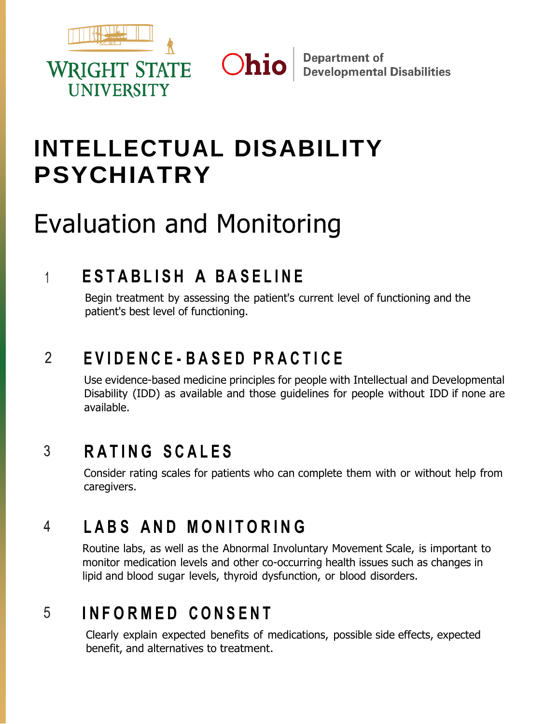

# **INTELLECTUAL DISABILITY PSYCHIATRY**

Ohio

# Evaluation and Monitoring

# $F = F \cup F$  **A BASELINE**  $\mathbf 1$

Begin treatment by assessing the patient's current level of functioning and the patient's best level of functioning.

#### $\overline{2}$ **E V I D E N C E - B A S E D P R A C T I C E**

Use evidence-based medicine principles for people with Intellectual and Developmental Disability (IDD) as available and those guidelines for people without IDD if none are available.

#### 3 **R A T I N G S C A L E S**

Consider rating scales for patients who can complete them with or without help from caregivers.

### **L A B S A N D M O N I T O R I N G** 4

Routine labs, as well as the Abnormal Involuntary Movement Scale, is important to monitor medication levels and other co-occurring health issues such as changes in lipid and blood sugar levels, thyroid dysfunction, or blood disorders.

# **I N F O R M E D C O N S E N T** 5

Clearly explain expected benefits of medications, possible side effects, expected benefit, and alternatives to treatment.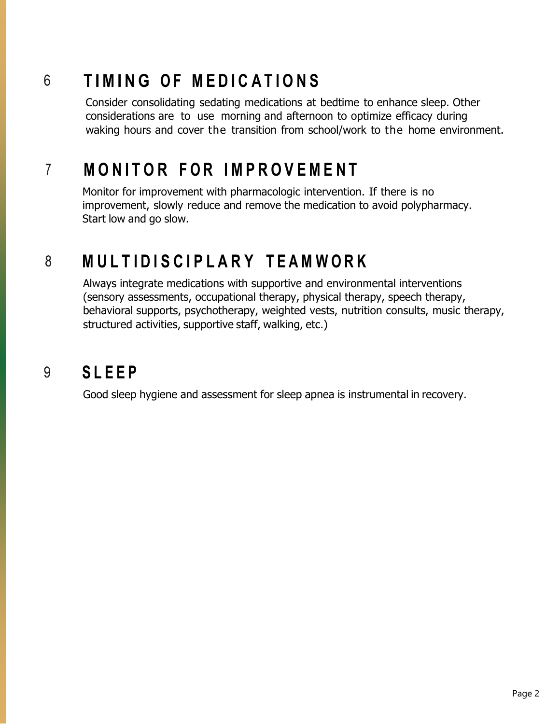# **T IMI N G O F M E D I C A T I O N S** 6

Consider consolidating sedating medications at bedtime to enhance sleep. Other considerations are to use morning and afternoon to optimize efficacy during waking hours and cover the transition from school/work to the home environment.

# **M O N I T O R F O R I M P R O V E M E N T**  $\overline{7}$

Monitor for improvement with pharmacologic intervention. If there is no improvement, slowly reduce and remove the medication to avoid polypharmacy. Start low and go slow.

## 8 **M U L T I D I S C I P L A R Y T E A M W O R K**

Always integrate medications with supportive and environmental interventions (sensory assessments, occupational therapy, physical therapy, speech therapy, behavioral supports, psychotherapy, weighted vests, nutrition consults, music therapy, structured activities, supportive staff, walking, etc.)

#### **S L E E P** 9

Good sleep hygiene and assessment for sleep apnea is instrumental in recovery.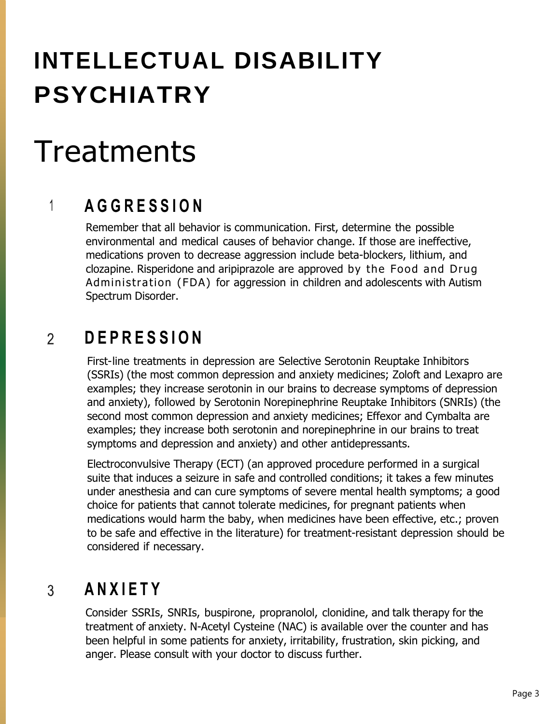# **INTELLECTUAL DISABILITY PSYCHIATRY**

# **Treatments**

# **A G G R E S S I O N**  $\mathbf 1$

Remember that all behavior is communication. First, determine the possible environmental and medical causes of behavior change. If those are ineffective, medications proven to decrease aggression include beta-blockers, lithium, and clozapine. Risperidone and aripiprazole are approved by the Food and Drug Administration (FDA) for aggression in children and adolescents with Autism Spectrum Disorder.

#### **D E P R E S S I O N**  $\mathfrak{D}$

First-line treatments in depression are Selective Serotonin Reuptake Inhibitors (SSRIs) (the most common depression and anxiety medicines; Zoloft and Lexapro are examples; they increase serotonin in our brains to decrease symptoms of depression and anxiety), followed by Serotonin Norepinephrine Reuptake Inhibitors (SNRIs) (the second most common depression and anxiety medicines; Effexor and Cymbalta are examples; they increase both serotonin and norepinephrine in our brains to treat symptoms and depression and anxiety) and other antidepressants.

Electroconvulsive Therapy (ECT) (an approved procedure performed in a surgical suite that induces a seizure in safe and controlled conditions; it takes a few minutes under anesthesia and can cure symptoms of severe mental health symptoms; a good choice for patients that cannot tolerate medicines, for pregnant patients when medications would harm the baby, when medicines have been effective, etc.; proven to be safe and effective in the literature) for treatment-resistant depression should be considered if necessary.

#### $\overline{3}$ **A N X I E T Y**

Consider SSRIs, SNRIs, buspirone, propranolol, clonidine, and talk therapy for the treatment of anxiety. N-Acetyl Cysteine (NAC) is available over the counter and has been helpful in some patients for anxiety, irritability, frustration, skin picking, and anger. Please consult with your doctor to discuss further.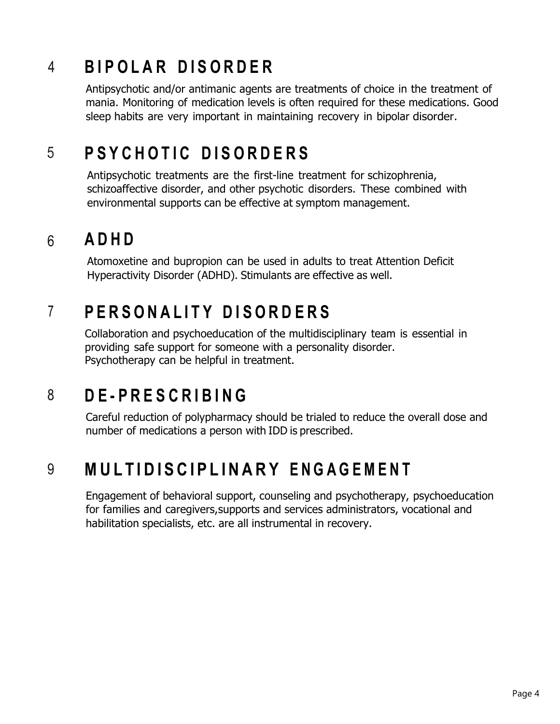# **B I P O L A R D I S O R D E R** 4

Antipsychotic and/or antimanic agents are treatments of choice in the treatment of mania. Monitoring of medication levels is often required for these medications. Good sleep habits are very important in maintaining recovery in bipolar disorder.

# **P S Y C H O T I C D I S O R D E R S** 5

Antipsychotic treatments are the first-line treatment for schizophrenia, schizoaffective disorder, and other psychotic disorders. These combined with environmental supports can be effective at symptom management.

#### **A D H D**  $6 \overline{6}$

Atomoxetine and bupropion can be used in adults to treat Attention Deficit Hyperactivity Disorder (ADHD). Stimulants are effective as well.

# $\overline{7}$ **P E R S O N A L I T Y D I S O R D E R S**

Collaboration and psychoeducation of the multidisciplinary team is essential in providing safe support for someone with a personality disorder. Psychotherapy can be helpful in treatment.

#### **D E - P R E S C R I B I N G** 8

Careful reduction of polypharmacy should be trialed to reduce the overall dose and number of medications a person with IDD is prescribed.

# MULTIDISCIPLINARY ENGAGEMENT 9

Engagement of behavioral support, counseling and psychotherapy, psychoeducation for families and caregivers,supports and services administrators, vocational and habilitation specialists, etc. are all instrumental in recovery.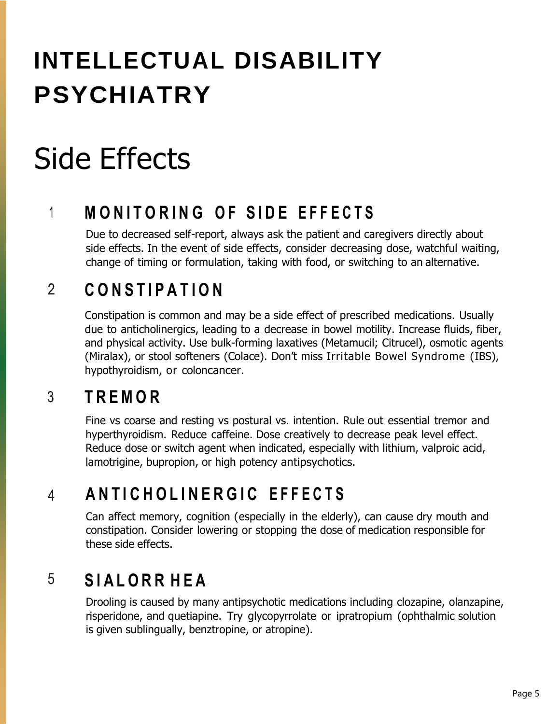# **INTELLECTUAL DISABILITY PSYCHIATRY**

# Side Effects

# **M O N I T O R I N G O F S I D E E F F E C T S**  $\mathbf 1$

Due to decreased self-report, always ask the patient and caregivers directly about side effects. In the event of side effects, consider decreasing dose, watchful waiting, change of timing or formulation, taking with food, or switching to an alternative.

## $\overline{2}$ **C O N S T I P A T I O N**

Constipation is common and may be a side effect of prescribed medications. Usually due to anticholinergics, leading to a decrease in bowel motility. Increase fluids, fiber, and physical activity. Use bulk-forming laxatives (Metamucil; Citrucel), osmotic agents (Miralax), or stool softeners (Colace). Don't miss Irritable Bowel Syndrome (IBS), hypothyroidism, or coloncancer.

#### 3 **T R E M O R**

Fine vs coarse and resting vs postural vs. intention. Rule out essential tremor and hyperthyroidism. Reduce caffeine. Dose creatively to decrease peak level effect. Reduce dose or switch agent when indicated, especially with lithium, valproic acid, lamotrigine, bupropion, or high potency antipsychotics.

### **A N T I C H O L I N E R G I C E F F E C T S**  $\overline{4}$

Can affect memory, cognition (especially in the elderly), can cause dry mouth and constipation. Consider lowering or stopping the dose of medication responsible for these side effects.

### **S I A L O R R H E A** 5

Drooling is caused by many antipsychotic medications including clozapine, olanzapine, risperidone, and quetiapine. Try glycopyrrolate or ipratropium (ophthalmic solution is given sublingually, benztropine, or atropine).